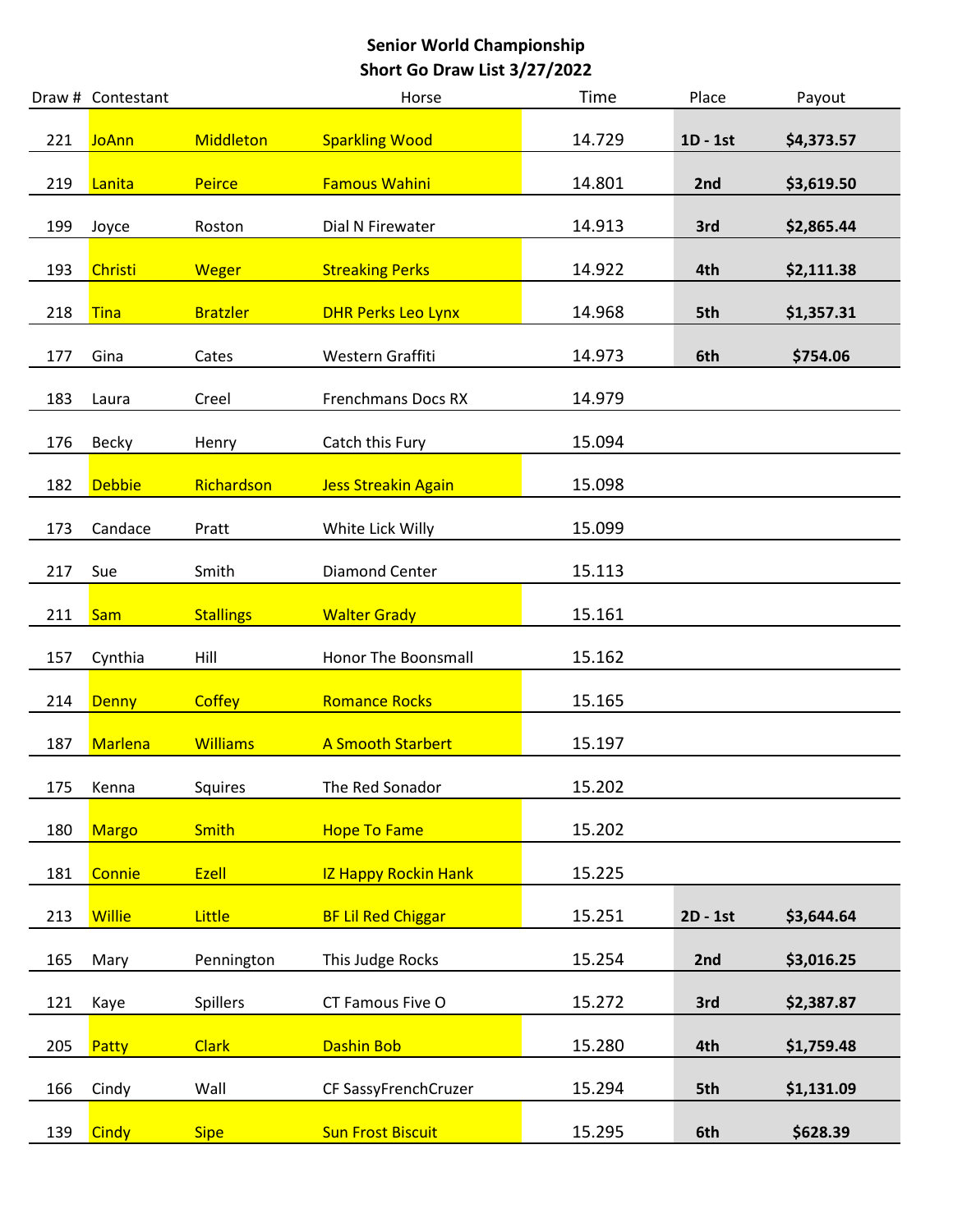|     | Draw # Contestant |                  | Horse                       | Time   | Place      | Payout     |
|-----|-------------------|------------------|-----------------------------|--------|------------|------------|
| 221 | <b>JoAnn</b>      | <b>Middleton</b> | <b>Sparkling Wood</b>       | 14.729 | $1D - 1st$ | \$4,373.57 |
| 219 | Lanita            | <b>Peirce</b>    | <b>Famous Wahini</b>        | 14.801 | 2nd        | \$3,619.50 |
| 199 | Joyce             | Roston           | Dial N Firewater            | 14.913 | 3rd        | \$2,865.44 |
| 193 | Christi           | <b>Weger</b>     | <b>Streaking Perks</b>      | 14.922 | 4th        | \$2,111.38 |
| 218 | <b>Tina</b>       | <b>Bratzler</b>  | <b>DHR Perks Leo Lynx</b>   | 14.968 | 5th        | \$1,357.31 |
| 177 | Gina              | Cates            | Western Graffiti            | 14.973 | 6th        | \$754.06   |
| 183 | Laura             | Creel            | <b>Frenchmans Docs RX</b>   | 14.979 |            |            |
| 176 | Becky             | Henry            | Catch this Fury             | 15.094 |            |            |
| 182 | <b>Debbie</b>     | Richardson       | <b>Jess Streakin Again</b>  | 15.098 |            |            |
| 173 | Candace           | Pratt            | White Lick Willy            | 15.099 |            |            |
| 217 | Sue               | Smith            | <b>Diamond Center</b>       | 15.113 |            |            |
| 211 | <b>Sam</b>        | <b>Stallings</b> | <b>Walter Grady</b>         | 15.161 |            |            |
| 157 | Cynthia           | Hill             | Honor The Boonsmall         | 15.162 |            |            |
| 214 | <b>Denny</b>      | <b>Coffey</b>    | <b>Romance Rocks</b>        | 15.165 |            |            |
| 187 | <b>Marlena</b>    | <b>Williams</b>  | <b>A Smooth Starbert</b>    | 15.197 |            |            |
| 175 | Kenna             | Squires          | The Red Sonador             | 15.202 |            |            |
| 180 | <b>Margo</b>      | <b>Smith</b>     | <b>Hope To Fame</b>         | 15.202 |            |            |
| 181 | Connie            | Ezell            | <b>IZ Happy Rockin Hank</b> | 15.225 |            |            |
| 213 | <b>Willie</b>     | Little           | <b>BF Lil Red Chiggar</b>   | 15.251 | 2D - 1st   | \$3,644.64 |
| 165 | Mary              | Pennington       | This Judge Rocks            | 15.254 | 2nd        | \$3,016.25 |
| 121 | Kaye              | Spillers         | CT Famous Five O            | 15.272 | 3rd        | \$2,387.87 |
| 205 | Patty             | <b>Clark</b>     | Dashin Bob                  | 15.280 | 4th        | \$1,759.48 |
| 166 | Cindy             | Wall             | CF SassyFrenchCruzer        | 15.294 | 5th        | \$1,131.09 |
| 139 | <b>Cindy</b>      | <b>Sipe</b>      | <b>Sun Frost Biscuit</b>    | 15.295 | 6th        | \$628.39   |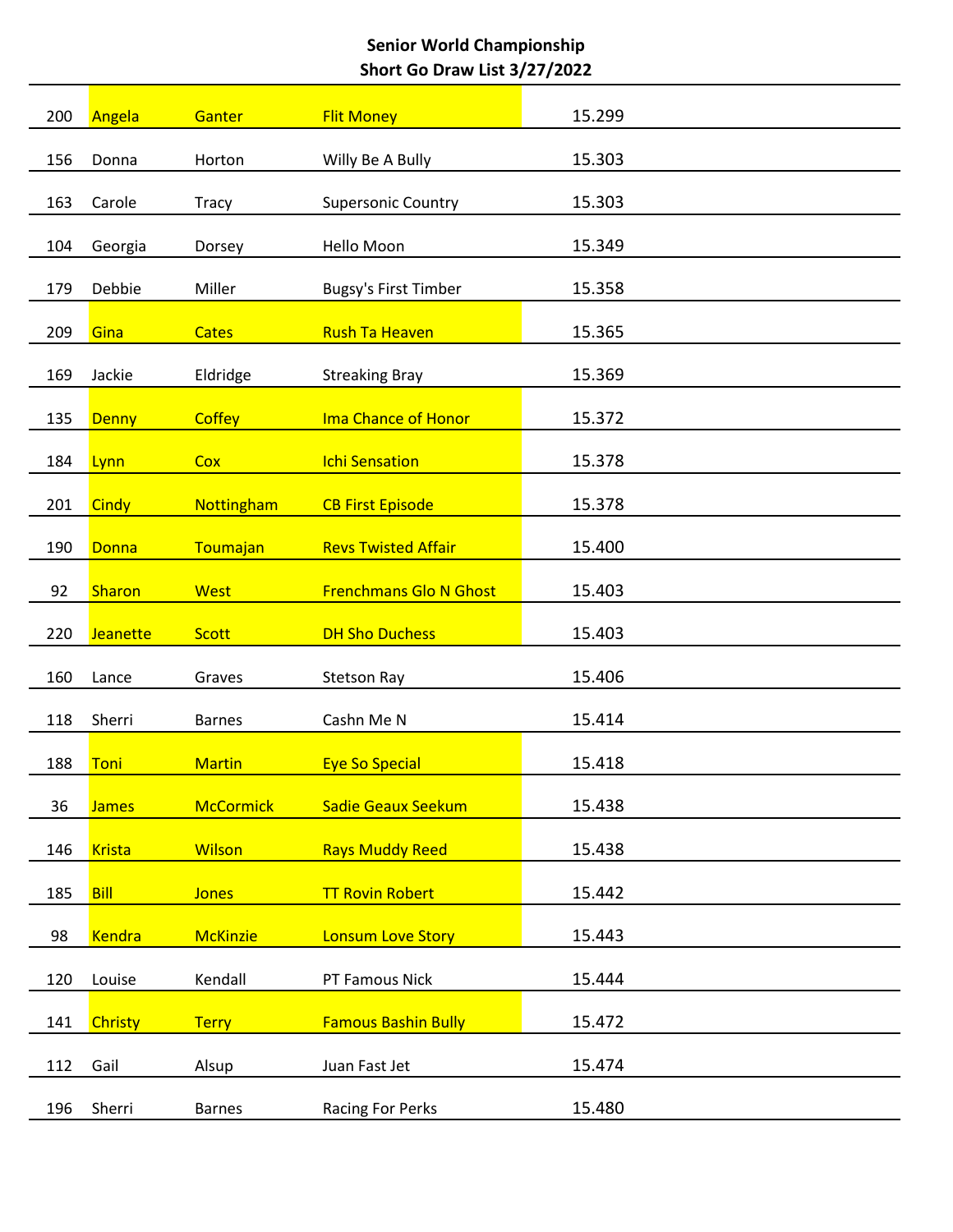| 200        | Angela         | Ganter                 | <b>Flit Money</b>                 | 15.299           |
|------------|----------------|------------------------|-----------------------------------|------------------|
| 156        | Donna          | Horton                 | Willy Be A Bully                  | 15.303           |
| 163        | Carole         | <b>Tracy</b>           | <b>Supersonic Country</b>         | 15.303           |
| 104        | Georgia        | Dorsey                 | Hello Moon                        | 15.349           |
| 179        | Debbie         | Miller                 | <b>Bugsy's First Timber</b>       | 15.358           |
| 209        | Gina           | <b>Cates</b>           | <b>Rush Ta Heaven</b>             | 15.365           |
| 169        | Jackie         | Eldridge               | <b>Streaking Bray</b>             | 15.369           |
| 135        | <b>Denny</b>   | <b>Coffey</b>          | <b>Ima Chance of Honor</b>        | 15.372           |
| 184        | Lynn           | Cox                    | <b>Ichi Sensation</b>             | 15.378           |
| 201        | Cindy          | Nottingham             | <b>CB First Episode</b>           | 15.378           |
| 190        | Donna          | Toumajan               | <b>Revs Twisted Affair</b>        | 15.400           |
| 92         | Sharon         | West                   | <b>Frenchmans Glo N Ghost</b>     | 15.403           |
| 220        | Jeanette       | <b>Scott</b>           | <b>DH Sho Duchess</b>             | 15.403           |
|            |                |                        |                                   |                  |
|            |                |                        |                                   |                  |
| 160        | Lance          | Graves                 | <b>Stetson Ray</b>                | 15.406           |
| 118        | Sherri         | <b>Barnes</b>          | Cashn Me N                        | 15.414           |
| 188        | Toni           | <b>Martin</b>          | <b>Eye So Special</b>             | 15.418           |
| 36         | <b>James</b>   | <b>McCormick</b>       | <b>Sadie Geaux Seekum</b>         | 15.438           |
| 146        | <b>Krista</b>  | <b>Wilson</b>          | <b>Rays Muddy Reed</b>            | 15.438           |
| 185        | <b>Bill</b>    | <b>Jones</b>           | <b>TT Rovin Robert</b>            | 15.442           |
| 98         | <b>Kendra</b>  | <b>McKinzie</b>        | <b>Lonsum Love Story</b>          | 15.443           |
| 120        | Louise         | Kendall                | PT Famous Nick                    | 15.444           |
| 141        | <b>Christy</b> | <b>Terry</b>           | <b>Famous Bashin Bully</b>        | 15.472           |
| 112<br>196 | Gail<br>Sherri | Alsup<br><b>Barnes</b> | Juan Fast Jet<br>Racing For Perks | 15.474<br>15.480 |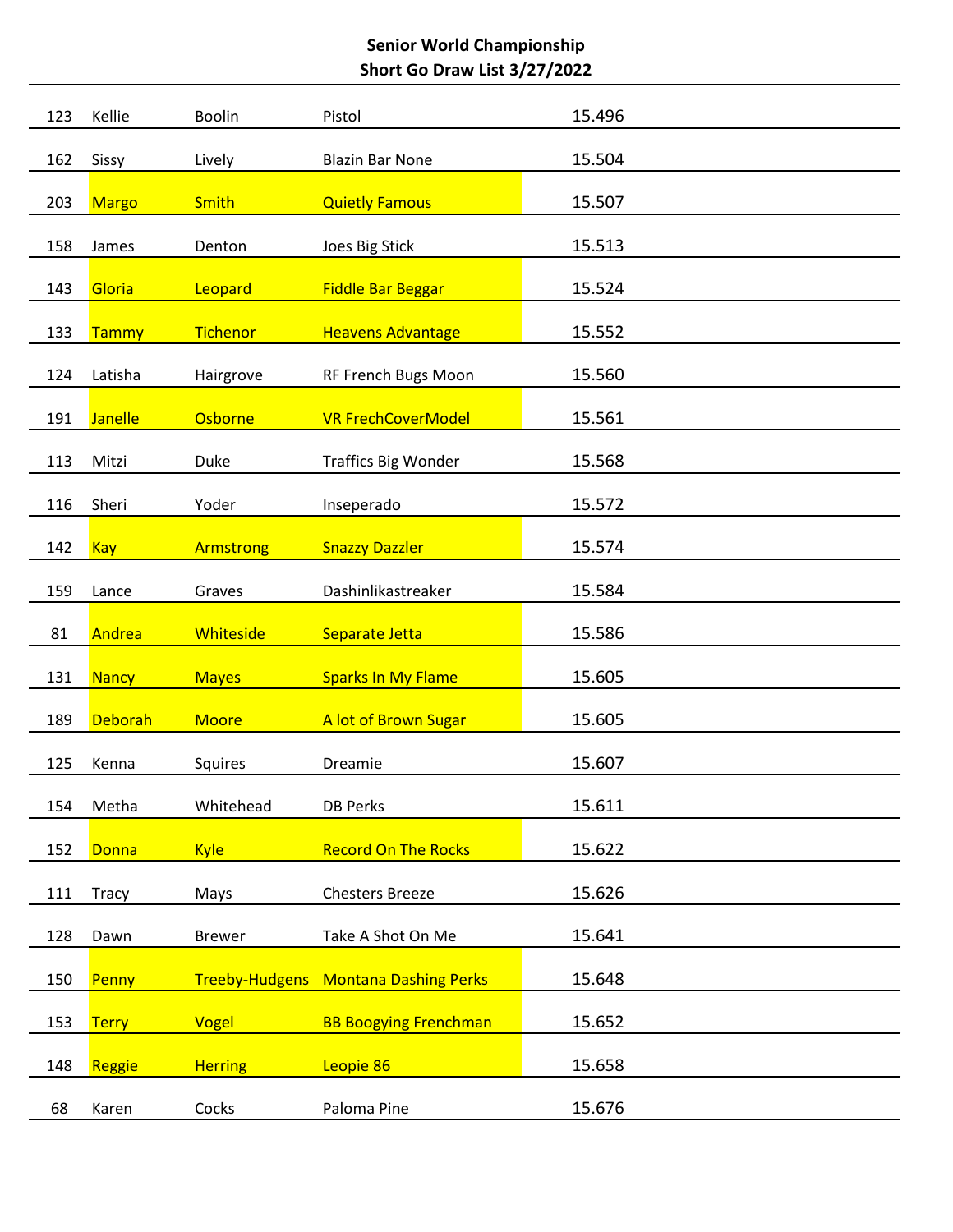| 123 | Kellie         | <b>Boolin</b>    | Pistol                       | 15.496 |
|-----|----------------|------------------|------------------------------|--------|
| 162 | Sissy          | Lively           | <b>Blazin Bar None</b>       | 15.504 |
| 203 | <b>Margo</b>   | <b>Smith</b>     | <b>Quietly Famous</b>        | 15.507 |
| 158 | James          | Denton           | Joes Big Stick               | 15.513 |
|     |                |                  |                              | 15.524 |
| 143 | Gloria         | Leopard          | <b>Fiddle Bar Beggar</b>     |        |
| 133 | Tammy          | Tichenor         | <b>Heavens Advantage</b>     | 15.552 |
| 124 | Latisha        | Hairgrove        | RF French Bugs Moon          | 15.560 |
| 191 | <b>Janelle</b> | Osborne          | <b>VR FrechCoverModel</b>    | 15.561 |
| 113 | Mitzi          | Duke             | <b>Traffics Big Wonder</b>   | 15.568 |
| 116 | Sheri          | Yoder            | Inseperado                   | 15.572 |
| 142 | <b>Kay</b>     | Armstrong        | <b>Snazzy Dazzler</b>        | 15.574 |
| 159 | Lance          | Graves           | Dashinlikastreaker           | 15.584 |
| 81  | Andrea         | <b>Whiteside</b> | Separate Jetta               | 15.586 |
|     |                |                  |                              |        |
| 131 | <b>Nancy</b>   | <b>Mayes</b>     | <b>Sparks In My Flame</b>    | 15.605 |
| 189 | <b>Deborah</b> | <b>Moore</b>     | A lot of Brown Sugar         | 15.605 |
| 125 | Kenna          | Squires          | Dreamie                      | 15.607 |
| 154 | Metha          | Whitehead        | <b>DB Perks</b>              | 15.611 |
| 152 | <b>Donna</b>   | <b>Kyle</b>      | <b>Record On The Rocks</b>   | 15.622 |
| 111 | Tracy          | Mays             | <b>Chesters Breeze</b>       | 15.626 |
| 128 | Dawn           | <b>Brewer</b>    | Take A Shot On Me            | 15.641 |
| 150 | Penny          | Treeby-Hudgens   | <b>Montana Dashing Perks</b> | 15.648 |
|     |                |                  |                              |        |
| 153 | <b>Terry</b>   | Vogel            | <b>BB Boogying Frenchman</b> | 15.652 |
| 148 | Reggie         | <b>Herring</b>   | Leopie 86                    | 15.658 |
| 68  | Karen          | Cocks            | Paloma Pine                  | 15.676 |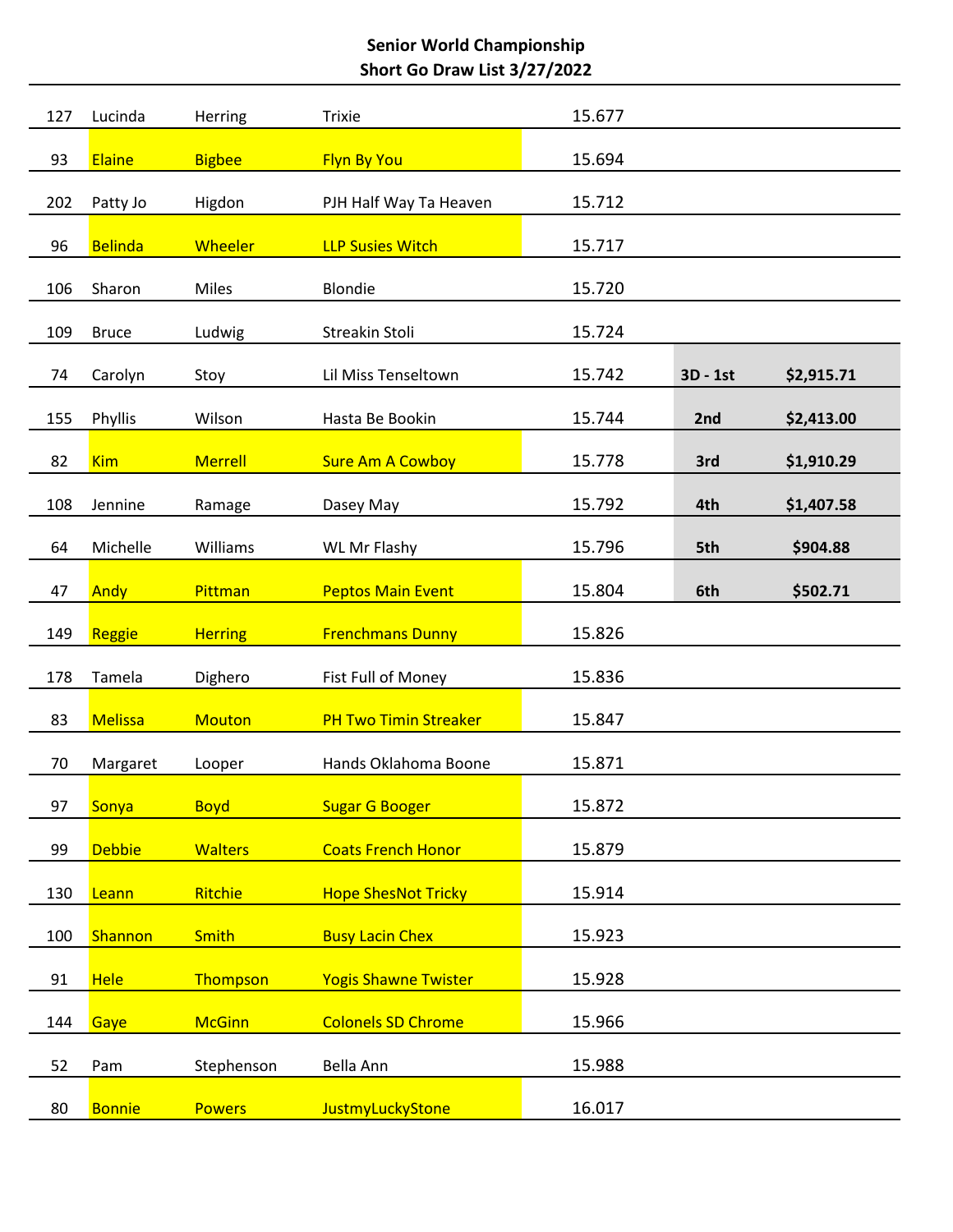| 127 | Lucinda        | Herring        | <b>Trixie</b>                | 15.677 |          |            |
|-----|----------------|----------------|------------------------------|--------|----------|------------|
| 93  | <b>Elaine</b>  | <b>Bigbee</b>  | <b>Flyn By You</b>           | 15.694 |          |            |
| 202 | Patty Jo       | Higdon         | PJH Half Way Ta Heaven       | 15.712 |          |            |
| 96  | <b>Belinda</b> | <b>Wheeler</b> | <b>LLP Susies Witch</b>      | 15.717 |          |            |
| 106 | Sharon         | Miles          | <b>Blondie</b>               | 15.720 |          |            |
| 109 | <b>Bruce</b>   | Ludwig         | Streakin Stoli               | 15.724 |          |            |
| 74  | Carolyn        | Stoy           | Lil Miss Tenseltown          | 15.742 | 3D - 1st | \$2,915.71 |
| 155 | Phyllis        | Wilson         | Hasta Be Bookin              | 15.744 | 2nd      | \$2,413.00 |
| 82  | <b>Kim</b>     | <b>Merrell</b> | <b>Sure Am A Cowboy</b>      | 15.778 | 3rd      | \$1,910.29 |
| 108 | Jennine        | Ramage         | Dasey May                    | 15.792 | 4th      | \$1,407.58 |
| 64  | Michelle       | Williams       | WL Mr Flashy                 | 15.796 | 5th      | \$904.88   |
| 47  | Andy           | Pittman        | <b>Peptos Main Event</b>     | 15.804 | 6th      | \$502.71   |
| 149 |                | <b>Herring</b> | <b>Frenchmans Dunny</b>      | 15.826 |          |            |
|     | Reggie         |                |                              |        |          |            |
| 178 | Tamela         | Dighero        | Fist Full of Money           | 15.836 |          |            |
| 83  | <b>Melissa</b> | <b>Mouton</b>  | <b>PH Two Timin Streaker</b> | 15.847 |          |            |
| 70  | Margaret       | Looper         | Hands Oklahoma Boone         | 15.871 |          |            |
| 97  | Sonya          | <b>Boyd</b>    | <b>Sugar G Booger</b>        | 15.872 |          |            |
| 99  | <b>Debbie</b>  | <b>Walters</b> | <b>Coats French Honor</b>    | 15.879 |          |            |
| 130 | Leann          | Ritchie        | <b>Hope ShesNot Tricky</b>   | 15.914 |          |            |
| 100 | Shannon        | <b>Smith</b>   | <b>Busy Lacin Chex</b>       | 15.923 |          |            |
| 91  | <b>Hele</b>    | Thompson       | <b>Yogis Shawne Twister</b>  | 15.928 |          |            |
| 144 | Gaye           | <b>McGinn</b>  | <b>Colonels SD Chrome</b>    | 15.966 |          |            |
| 52  | Pam            | Stephenson     | Bella Ann                    | 15.988 |          |            |
| 80  | <b>Bonnie</b>  | <b>Powers</b>  | JustmyLuckyStone             | 16.017 |          |            |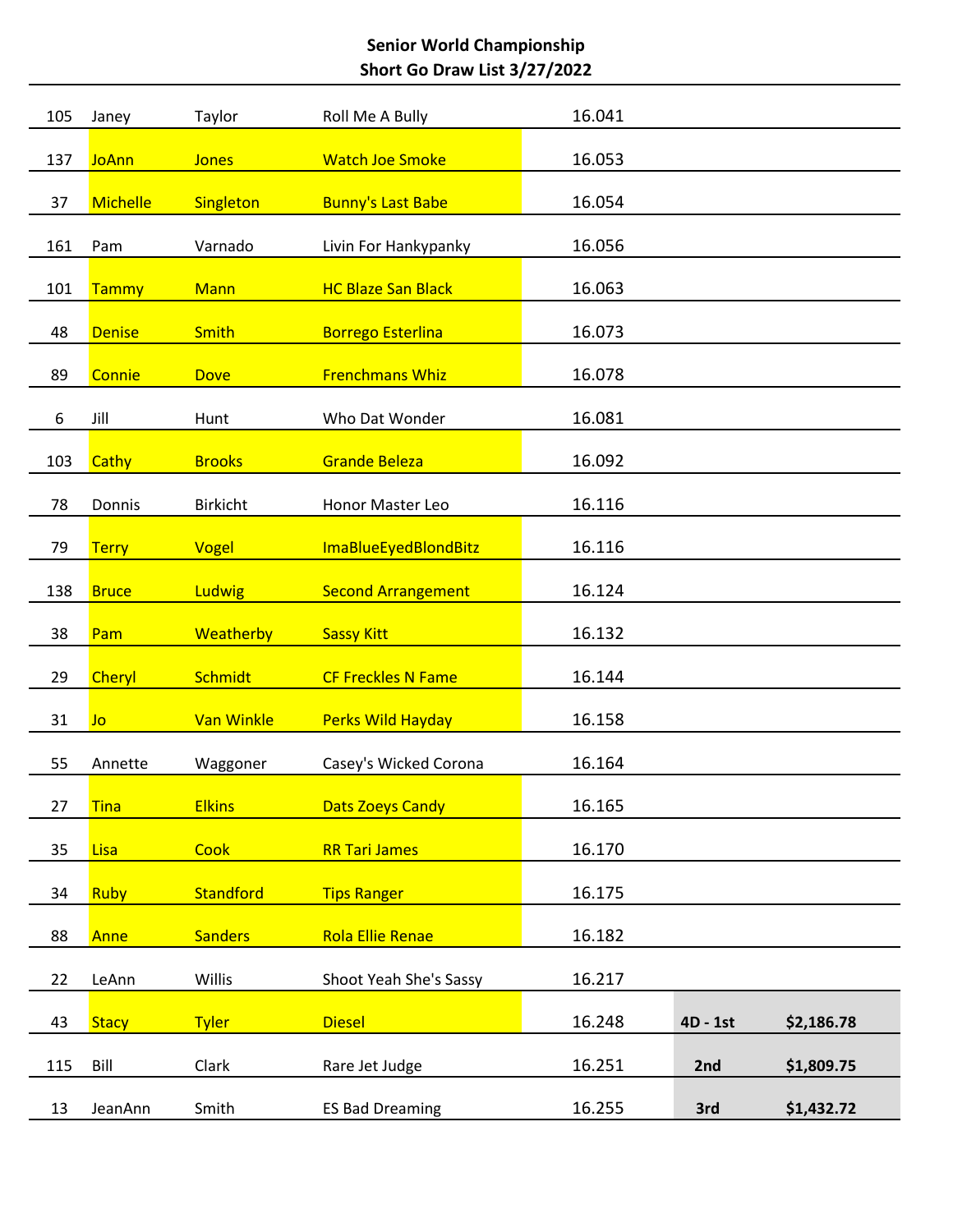| 105 | Janey           | Taylor          | Roll Me A Bully           | 16.041 |          |            |
|-----|-----------------|-----------------|---------------------------|--------|----------|------------|
| 137 | <b>JoAnn</b>    | <b>Jones</b>    | <b>Watch Joe Smoke</b>    | 16.053 |          |            |
| 37  | <b>Michelle</b> | Singleton       | <b>Bunny's Last Babe</b>  | 16.054 |          |            |
| 161 | Pam             | Varnado         | Livin For Hankypanky      | 16.056 |          |            |
|     |                 |                 |                           |        |          |            |
| 101 | Tammy           | <b>Mann</b>     | <b>HC Blaze San Black</b> | 16.063 |          |            |
| 48  | <b>Denise</b>   | <b>Smith</b>    | <b>Borrego Esterlina</b>  | 16.073 |          |            |
| 89  | Connie          | <b>Dove</b>     | <b>Frenchmans Whiz</b>    | 16.078 |          |            |
| 6   | Jill            | Hunt            | Who Dat Wonder            | 16.081 |          |            |
| 103 | Cathy           | <b>Brooks</b>   | <b>Grande Beleza</b>      | 16.092 |          |            |
| 78  | Donnis          | <b>Birkicht</b> | Honor Master Leo          | 16.116 |          |            |
| 79  | <b>Terry</b>    | Vogel           | ImaBlueEyedBlondBitz      | 16.116 |          |            |
|     |                 |                 |                           |        |          |            |
| 138 | <b>Bruce</b>    | Ludwig          | <b>Second Arrangement</b> | 16.124 |          |            |
| 38  | Pam             | Weatherby       | <b>Sassy Kitt</b>         | 16.132 |          |            |
| 29  | Cheryl          | <b>Schmidt</b>  | <b>CF Freckles N Fame</b> | 16.144 |          |            |
| 31  | Jo              | Van Winkle      | <b>Perks Wild Hayday</b>  | 16.158 |          |            |
| 55  | Annette         | Waggoner        | Casey's Wicked Corona     | 16.164 |          |            |
| 27  | <b>Tina</b>     | <b>Elkins</b>   | <b>Dats Zoeys Candy</b>   | 16.165 |          |            |
| 35  | <b>Lisa</b>     | Cook            | <b>RR Tari James</b>      | 16.170 |          |            |
| 34  | <b>Ruby</b>     | Standford       | <b>Tips Ranger</b>        | 16.175 |          |            |
|     |                 |                 |                           |        |          |            |
| 88  | Anne            | <b>Sanders</b>  | <b>Rola Ellie Renae</b>   | 16.182 |          |            |
| 22  | LeAnn           | Willis          | Shoot Yeah She's Sassy    | 16.217 |          |            |
| 43  | <b>Stacy</b>    | <b>Tyler</b>    | <b>Diesel</b>             | 16.248 | 4D - 1st | \$2,186.78 |
| 115 | Bill            | Clark           | Rare Jet Judge            | 16.251 | 2nd      | \$1,809.75 |
| 13  | JeanAnn         | Smith           | <b>ES Bad Dreaming</b>    | 16.255 | 3rd      | \$1,432.72 |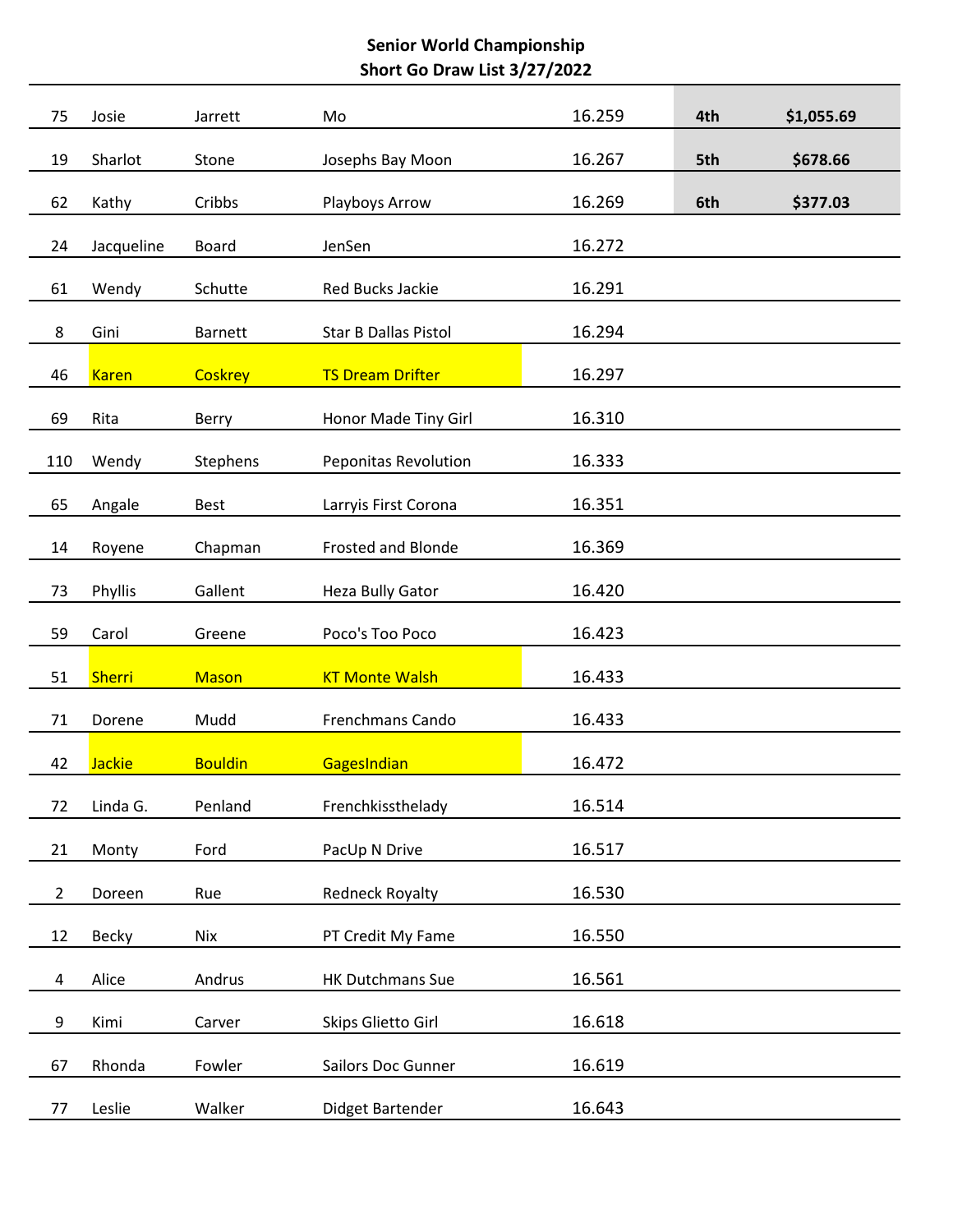| 75             | Josie         | Jarrett        | Mo                          | 16.259 | 4th | \$1,055.69 |
|----------------|---------------|----------------|-----------------------------|--------|-----|------------|
| 19             | Sharlot       | Stone          | Josephs Bay Moon            | 16.267 | 5th | \$678.66   |
| 62             | Kathy         | Cribbs         | Playboys Arrow              | 16.269 | 6th | \$377.03   |
| 24             | Jacqueline    | <b>Board</b>   | JenSen                      | 16.272 |     |            |
| 61             | Wendy         | Schutte        | Red Bucks Jackie            | 16.291 |     |            |
| 8              | Gini          | <b>Barnett</b> | <b>Star B Dallas Pistol</b> | 16.294 |     |            |
| 46             | <b>Karen</b>  | <b>Coskrey</b> | <b>TS Dream Drifter</b>     | 16.297 |     |            |
| 69             | Rita          | Berry          | Honor Made Tiny Girl        | 16.310 |     |            |
| 110            | Wendy         | Stephens       | Peponitas Revolution        | 16.333 |     |            |
| 65             | Angale        | <b>Best</b>    | Larryis First Corona        | 16.351 |     |            |
| 14             | Royene        | Chapman        | <b>Frosted and Blonde</b>   | 16.369 |     |            |
| 73             | Phyllis       | Gallent        | Heza Bully Gator            | 16.420 |     |            |
| 59             | Carol         | Greene         | Poco's Too Poco             | 16.423 |     |            |
| 51             | <b>Sherri</b> | <b>Mason</b>   | <b>KT Monte Walsh</b>       | 16.433 |     |            |
| 71             | Dorene        | Mudd           | Frenchmans Cando            | 16.433 |     |            |
|                |               |                |                             |        |     |            |
| 42             | <b>Jackie</b> | <b>Bouldin</b> | GagesIndian                 | 16.472 |     |            |
| 72             | Linda G.      | Penland        | Frenchkissthelady           | 16.514 |     |            |
| 21             | Monty         | Ford           | PacUp N Drive               | 16.517 |     |            |
| $\overline{2}$ | Doreen        | Rue            | <b>Redneck Royalty</b>      | 16.530 |     |            |
| 12             | Becky         | Nix            | PT Credit My Fame           | 16.550 |     |            |
| 4              | Alice         | Andrus         | HK Dutchmans Sue            | 16.561 |     |            |
| 9              | Kimi          | Carver         | Skips Glietto Girl          | 16.618 |     |            |
| 67             | Rhonda        | Fowler         | Sailors Doc Gunner          | 16.619 |     |            |
| 77             | Leslie        | Walker         | Didget Bartender            | 16.643 |     |            |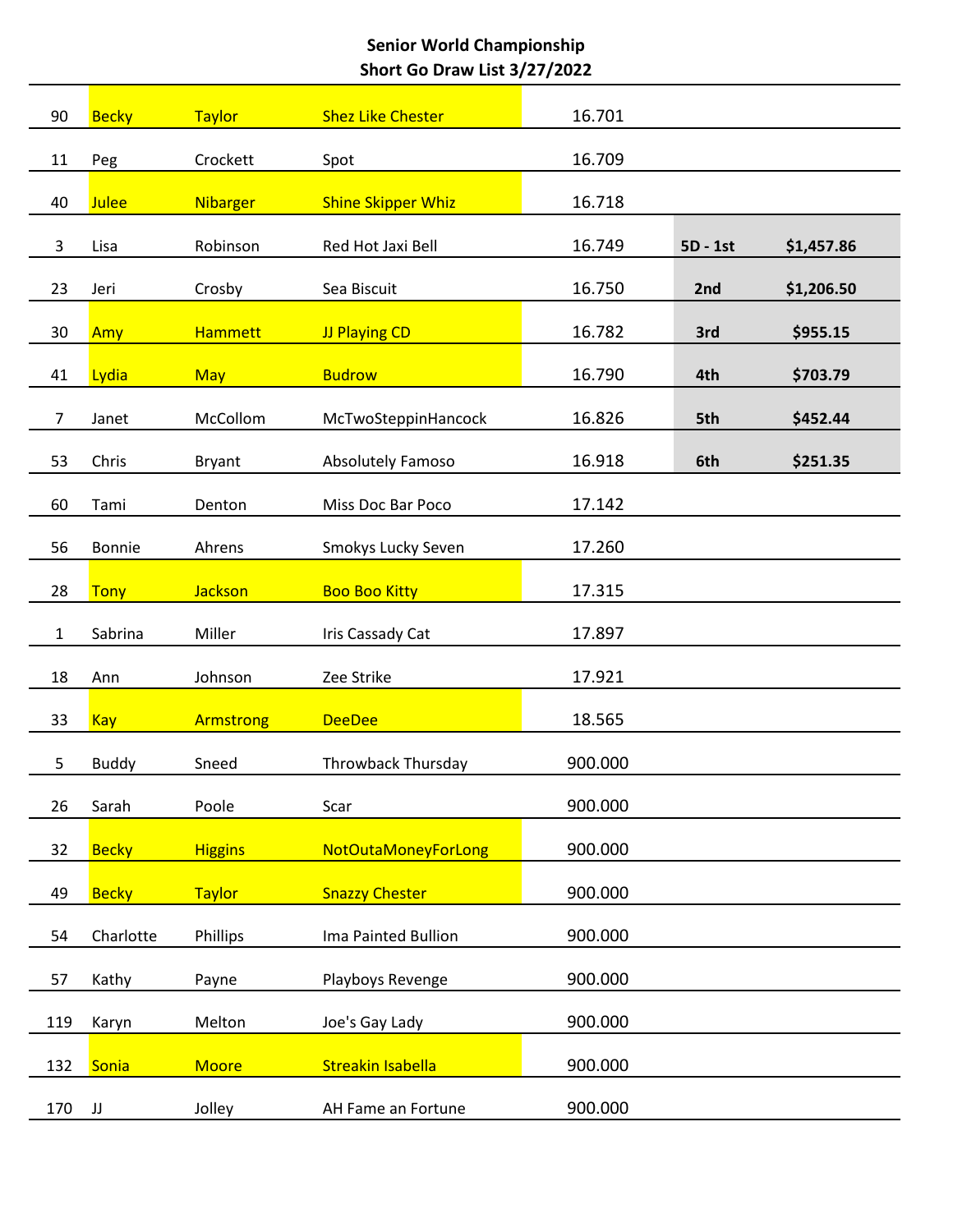| 90             | <b>Becky</b> | <b>Taylor</b>   | <b>Shez Like Chester</b>  | 16.701  |          |            |
|----------------|--------------|-----------------|---------------------------|---------|----------|------------|
| 11             | Peg          | Crockett        | Spot                      | 16.709  |          |            |
| 40             | <b>Julee</b> | <b>Nibarger</b> | <b>Shine Skipper Whiz</b> | 16.718  |          |            |
| 3              | Lisa         | Robinson        | Red Hot Jaxi Bell         | 16.749  | 5D - 1st | \$1,457.86 |
| 23             | Jeri         | Crosby          | Sea Biscuit               | 16.750  | 2nd      | \$1,206.50 |
| 30             | Amy          | <b>Hammett</b>  | JJ Playing CD             | 16.782  | 3rd      | \$955.15   |
| 41             | Lydia        | <b>May</b>      | <b>Budrow</b>             | 16.790  | 4th      | \$703.79   |
| $\overline{7}$ | Janet        | McCollom        | McTwoSteppinHancock       | 16.826  | 5th      | \$452.44   |
| 53             | Chris        | <b>Bryant</b>   | <b>Absolutely Famoso</b>  | 16.918  | 6th      | \$251.35   |
| 60             | Tami         | Denton          | Miss Doc Bar Poco         | 17.142  |          |            |
| 56             | Bonnie       | Ahrens          | Smokys Lucky Seven        | 17.260  |          |            |
| 28             | <b>Tony</b>  | <b>Jackson</b>  | <b>Boo Boo Kitty</b>      | 17.315  |          |            |
| $\mathbf{1}$   | Sabrina      | Miller          | Iris Cassady Cat          | 17.897  |          |            |
| 18             | Ann          | Johnson         | Zee Strike                | 17.921  |          |            |
| 33             |              |                 | <b>DeeDee</b>             | 18.565  |          |            |
|                | <b>Kay</b>   | Armstrong       |                           | 900.000 |          |            |
| 5              | <b>Buddy</b> | Sneed           | Throwback Thursday        |         |          |            |
| 26             | Sarah        | Poole           | Scar                      | 900.000 |          |            |
| 32             | <b>Becky</b> | <b>Higgins</b>  | NotOutaMoneyForLong       | 900.000 |          |            |
| 49             | <b>Becky</b> | <b>Taylor</b>   | <b>Snazzy Chester</b>     | 900.000 |          |            |
| 54             | Charlotte    | Phillips        | Ima Painted Bullion       | 900.000 |          |            |
| 57             | Kathy        | Payne           | Playboys Revenge          | 900.000 |          |            |
| 119            | Karyn        | Melton          | Joe's Gay Lady            | 900.000 |          |            |
| 132            | Sonia        | <b>Moore</b>    | <b>Streakin Isabella</b>  | 900.000 |          |            |
| 170            | JJ           | Jolley          | AH Fame an Fortune        | 900.000 |          |            |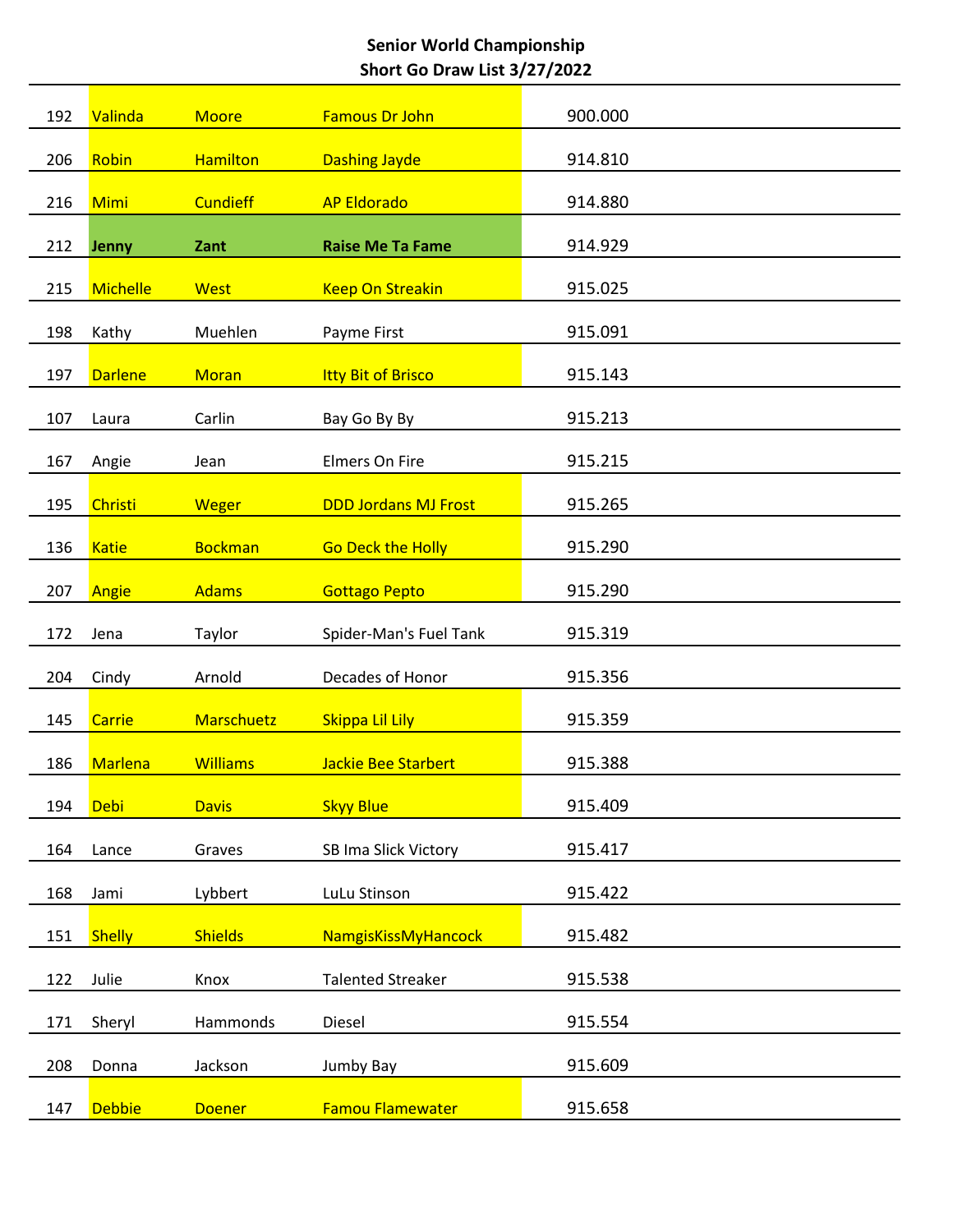| 192 | Valinda         | <b>Moore</b>    | <b>Famous Dr John</b>       | 900.000 |
|-----|-----------------|-----------------|-----------------------------|---------|
| 206 | Robin           | <b>Hamilton</b> | <b>Dashing Jayde</b>        | 914.810 |
| 216 | <b>Mimi</b>     | <b>Cundieff</b> | <b>AP Eldorado</b>          | 914.880 |
| 212 | Jenny           | Zant            | <b>Raise Me Ta Fame</b>     | 914.929 |
| 215 | <b>Michelle</b> | <b>West</b>     | <b>Keep On Streakin</b>     | 915.025 |
| 198 | Kathy           | Muehlen         | Payme First                 | 915.091 |
|     |                 |                 |                             |         |
| 197 | <b>Darlene</b>  | <b>Moran</b>    | <b>Itty Bit of Brisco</b>   | 915.143 |
| 107 | Laura           | Carlin          | Bay Go By By                | 915.213 |
| 167 | Angie           | Jean            | <b>Elmers On Fire</b>       | 915.215 |
| 195 | Christi         | <b>Weger</b>    | <b>DDD Jordans MJ Frost</b> | 915.265 |
| 136 | <b>Katie</b>    | <b>Bockman</b>  | <b>Go Deck the Holly</b>    | 915.290 |
| 207 | Angie           | <b>Adams</b>    | <b>Gottago Pepto</b>        | 915.290 |
| 172 | Jena            | Taylor          | Spider-Man's Fuel Tank      | 915.319 |
| 204 | Cindy           | Arnold          | Decades of Honor            | 915.356 |
| 145 | Carrie          | Marschuetz      | Skippa Lil Lily             | 915.359 |
| 186 | <b>Marlena</b>  | <b>Williams</b> | <b>Jackie Bee Starbert</b>  | 915.388 |
| 194 | <b>Debi</b>     | <b>Davis</b>    | <b>Skyy Blue</b>            | 915.409 |
|     |                 |                 |                             |         |
| 164 | Lance           | Graves          | SB Ima Slick Victory        | 915.417 |
| 168 | Jami            | Lybbert         | LuLu Stinson                | 915.422 |
| 151 | <b>Shelly</b>   | <b>Shields</b>  | <b>NamgisKissMyHancock</b>  | 915.482 |
| 122 | Julie           | Knox            | <b>Talented Streaker</b>    | 915.538 |
| 171 | Sheryl          | Hammonds        | Diesel                      | 915.554 |
| 208 | Donna           | Jackson         | Jumby Bay                   | 915.609 |
| 147 | <b>Debbie</b>   | <b>Doener</b>   | <b>Famou Flamewater</b>     | 915.658 |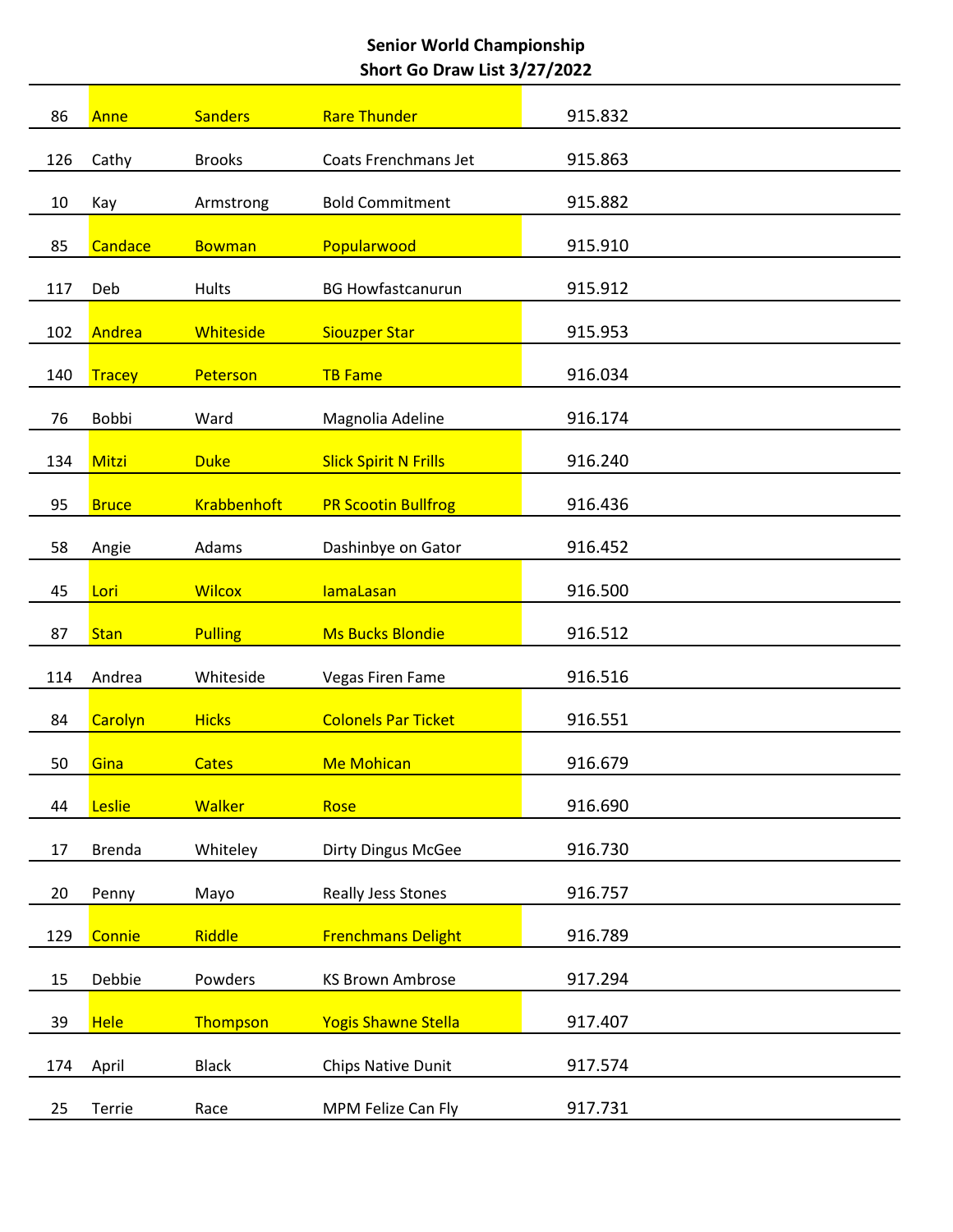| 86  | Anne          | <b>Sanders</b>     | <b>Rare Thunder</b>          | 915.832 |
|-----|---------------|--------------------|------------------------------|---------|
| 126 | Cathy         | <b>Brooks</b>      | Coats Frenchmans Jet         | 915.863 |
| 10  | Kay           | Armstrong          | <b>Bold Commitment</b>       | 915.882 |
| 85  | Candace       | <b>Bowman</b>      | Popularwood                  | 915.910 |
|     |               |                    |                              |         |
| 117 | Deb           | Hults              | <b>BG Howfastcanurun</b>     | 915.912 |
| 102 | Andrea        | Whiteside          | <b>Siouzper Star</b>         | 915.953 |
| 140 | <b>Tracey</b> | Peterson           | <b>TB Fame</b>               | 916.034 |
| 76  | Bobbi         | Ward               | Magnolia Adeline             | 916.174 |
|     |               |                    |                              |         |
| 134 | Mitzi         | <b>Duke</b>        | <b>Slick Spirit N Frills</b> | 916.240 |
| 95  | <b>Bruce</b>  | <b>Krabbenhoft</b> | <b>PR Scootin Bullfrog</b>   | 916.436 |
| 58  | Angie         | Adams              | Dashinbye on Gator           | 916.452 |
| 45  | Lori          | <b>Wilcox</b>      | <b>lamaLasan</b>             | 916.500 |
|     |               |                    |                              |         |
| 87  | <b>Stan</b>   | <b>Pulling</b>     | <b>Ms Bucks Blondie</b>      | 916.512 |
| 114 | Andrea        | Whiteside          | Vegas Firen Fame             | 916.516 |
| 84  | Carolyn       | <b>Hicks</b>       | <b>Colonels Par Ticket</b>   | 916.551 |
| 50  | Gina          | <b>Cates</b>       | <b>Me Mohican</b>            | 916.679 |
|     |               |                    |                              |         |
| 44  | Leslie        | <b>Walker</b>      | Rose                         | 916.690 |
| 17  | <b>Brenda</b> | Whiteley           | <b>Dirty Dingus McGee</b>    | 916.730 |
| 20  | Penny         | Mayo               | Really Jess Stones           | 916.757 |
| 129 | Connie        | Riddle             | <b>Frenchmans Delight</b>    | 916.789 |
|     |               |                    |                              |         |
| 15  | Debbie        | Powders            | <b>KS Brown Ambrose</b>      | 917.294 |
| 39  | <b>Hele</b>   | Thompson           | <b>Yogis Shawne Stella</b>   | 917.407 |
| 174 | April         | <b>Black</b>       | Chips Native Dunit           | 917.574 |
| 25  | Terrie        | Race               | MPM Felize Can Fly           | 917.731 |